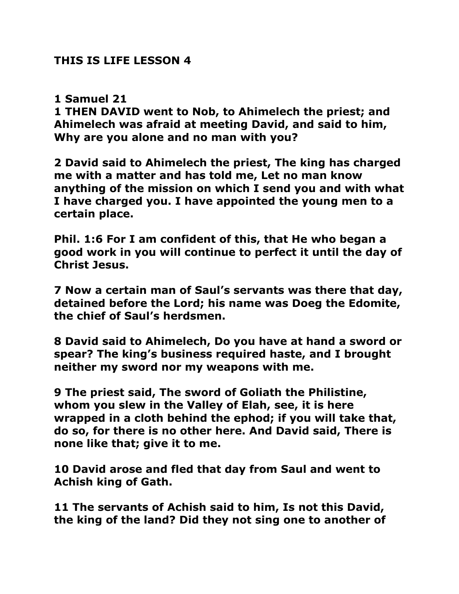## **THIS IS LIFE LESSON 4**

## **1 Samuel 21**

**1 THEN DAVID went to Nob, to Ahimelech the priest; and Ahimelech was afraid at meeting David, and said to him, Why are you alone and no man with you?** 

**2 David said to Ahimelech the priest, The king has charged me with a matter and has told me, Let no man know anything of the mission on which I send you and with what I have charged you. I have appointed the young men to a certain place.** 

**Phil. 1:6 [For I am confident](http://biblehub.com/greek/3982.htm) [of this,](http://biblehub.com/greek/3778.htm) [that](http://biblehub.com/greek/3754.htm) [He](http://biblehub.com/greek/3588.htm) [who began](http://biblehub.com/greek/1728.htm) [a](http://biblehub.com/greek/18.htm)  [good](http://biblehub.com/greek/18.htm) [work](http://biblehub.com/greek/2041.htm) [in](http://biblehub.com/greek/1722.htm) [you](http://biblehub.com/greek/4771.htm) [will continue to perfect it](http://biblehub.com/greek/2005.htm) [until](http://biblehub.com/greek/891.htm) [the day](http://biblehub.com/greek/2250.htm) [of](http://biblehub.com/greek/5547.htm)  [Christ](http://biblehub.com/greek/5547.htm) [Jesus.](http://biblehub.com/greek/2424.htm)**

**7 Now a certain man of Saul's servants was there that day, detained before the Lord; his name was Doeg the Edomite, the chief of Saul's herdsmen.**

**8 David said to Ahimelech, Do you have at hand a sword or spear? The king's business required haste, and I brought neither my sword nor my weapons with me.** 

**9 The priest said, The sword of Goliath the Philistine, whom you slew in the Valley of Elah, see, it is here wrapped in a cloth behind the ephod; if you will take that, do so, for there is no other here. And David said, There is none like that; give it to me.**

**10 David arose and fled that day from Saul and went to Achish king of Gath.** 

**11 The servants of Achish said to him, Is not this David, the king of the land? Did they not sing one to another of**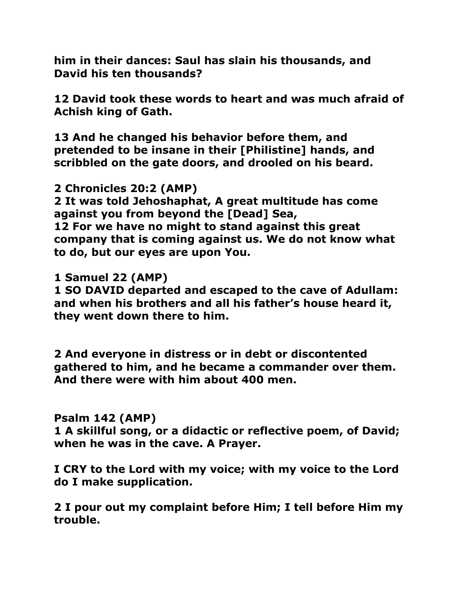**him in their dances: Saul has slain his thousands, and David his ten thousands?** 

**12 David took these words to heart and was much afraid of Achish king of Gath.** 

**13 And he changed his behavior before them, and pretended to be insane in their [Philistine] hands, and scribbled on the gate doors, and drooled on his beard.** 

**2 Chronicles 20:2 (AMP)**

**2 It was told Jehoshaphat, A great multitude has come against you from beyond the [Dead] Sea,** 

**12 For we have no might to stand against this great company that is coming against us. We do not know what to do, but our eyes are upon You.** 

**1 Samuel 22 (AMP)**

**1 SO DAVID departed and escaped to the cave of Adullam: and when his brothers and all his father's house heard it, they went down there to him.** 

**2 And everyone in distress or in debt or discontented gathered to him, and he became a commander over them. And there were with him about 400 men.** 

## **Psalm 142 (AMP)**

**1 A skillful song, or a didactic or reflective poem, of David; when he was in the cave. A Prayer.** 

**I CRY to the Lord with my voice; with my voice to the Lord do I make supplication.** 

**2 I pour out my complaint before Him; I tell before Him my trouble.**